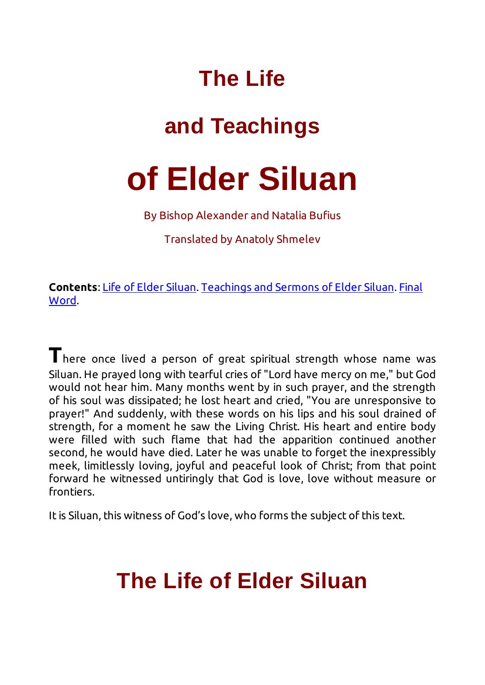### **The Life**

## **and Teachings**

# **of Elder Siluan**

By Bishop Alexander and Natalia Bufius

Translated by Anatoly Shmelev

**Contents**: Life of Elder Siluan. Teachings and Sermons of Elder Siluan. Final Word.

**T**here once lived a person of great spiritual strength whose name was Siluan. He prayed long with tearful cries of "Lord have mercy on me," but God would not hear him. Many months went by in such prayer, and the strength of his soul was dissipated; he lost heart and cried, "You are unresponsive to prayer!" And suddenly, with these words on his lips and his soul drained of strength, for a moment he saw the Living Christ. His heart and entire body were filled with such flame that had the apparition continued another second, he would have died. Later he was unable to forget the inexpressibly meek, limitlessly loving, joyful and peaceful look of Christ; from that point forward he witnessed untiringly that God is love, love without measure or frontiers.

It is Siluan, this witness of God's love, who forms the subject of this text.

### **The Life of Elder Siluan**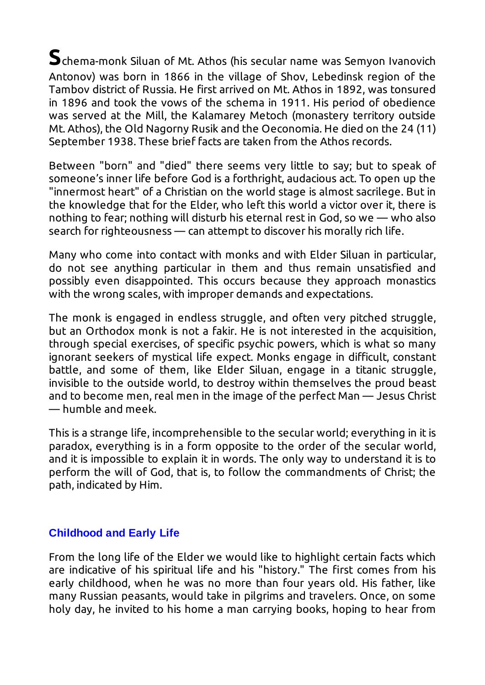**S**chema-monk Siluan of Mt. Athos (his secular name was Semyon Ivanovich Antonov) was born in 1866 in the village of Shov, Lebedinsk region of the Tambov district of Russia. He first arrived on Mt. Athos in 1892, was tonsured in 1896 and took the vows of the schema in 1911. His period of obedience was served at the Mill, the Kalamarey Metoch (monastery territory outside Mt. Athos), the Old Nagorny Rusik and the Oeconomia. He died on the 24 (11) September 1938. These brief facts are taken from the Athos records.

Between "born" and "died" there seems very little to say; but to speak of someone's inner life before God is a forthright, audacious act. To open up the "innermost heart" of a Christian on the world stage is almost sacrilege. But in the knowledge that for the Elder, who left this world a victor over it, there is nothing to fear; nothing will disturb his eternal rest in God, so we — who also search for righteousness — can attempt to discover his morally rich life.

Many who come into contact with monks and with Elder Siluan in particular, do not see anything particular in them and thus remain unsatisfied and possibly even disappointed. This occurs because they approach monastics with the wrong scales, with improper demands and expectations.

The monk is engaged in endless struggle, and often very pitched struggle, but an Orthodox monk is not a fakir. He is not interested in the acquisition, through special exercises, of specific psychic powers, which is what so many ignorant seekers of mystical life expect. Monks engage in difficult, constant battle, and some of them, like Elder Siluan, engage in a titanic struggle, invisible to the outside world, to destroy within themselves the proud beast and to become men, real men in the image of the perfect Man — Jesus Christ — humble and meek.

This is a strange life, incomprehensible to the secular world; everything in it is paradox, everything is in a form opposite to the order of the secular world, and it is impossible to explain it in words. The only way to understand it is to perform the will of God, that is, to follow the commandments of Christ; the path, indicated by Him.

#### **Childhood and Early Life**

From the long life of the Elder we would like to highlight certain facts which are indicative of his spiritual life and his "history." The first comes from his early childhood, when he was no more than four years old. His father, like many Russian peasants, would take in pilgrims and travelers. Once, on some holy day, he invited to his home a man carrying books, hoping to hear from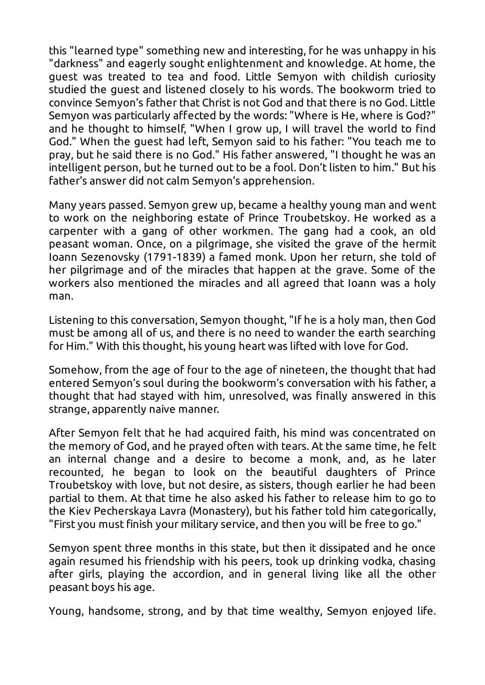this "learned type" something new and interesting, for he was unhappy in his "darkness" and eagerly sought enlightenment and knowledge. At home, the guest was treated to tea and food. Little Semyon with childish curiosity studied the guest and listened closely to his words. The bookworm tried to convince Semyon's father that Christ is not God and that there is no God. Little Semyon was particularly affected by the words: "Where is He, where is God?" and he thought to himself, "When I grow up, I will travel the world to find God." When the guest had left, Semyon said to his father: "You teach me to pray, but he said there is no God." His father answered, "I thought he was an intelligent person, but he turned out to be a fool. Don't listen to him." But his father's answer did not calm Semyon's apprehension.

Many years passed. Semyon grew up, became a healthy young man and went to work on the neighboring estate of Prince Troubetskoy. He worked as a carpenter with a gang of other workmen. The gang had a cook, an old peasant woman. Once, on a pilgrimage, she visited the grave of the hermit Ioann Sezenovsky (1791-1839) a famed monk. Upon her return, she told of her pilgrimage and of the miracles that happen at the grave. Some of the workers also mentioned the miracles and all agreed that Ioann was a holy man.

Listening to this conversation, Semyon thought, "If he is a holy man, then God must be among all of us, and there is no need to wander the earth searching for Him." With this thought, his young heart was lifted with love for God.

Somehow, from the age of four to the age of nineteen, the thought that had entered Semyon's soul during the bookworm's conversation with his father, a thought that had stayed with him, unresolved, was finally answered in this strange, apparently naive manner.

After Semyon felt that he had acquired faith, his mind was concentrated on the memory of God, and he prayed often with tears. At the same time, he felt an internal change and a desire to become a monk, and, as he later recounted, he began to look on the beautiful daughters of Prince Troubetskoy with love, but not desire, as sisters, though earlier he had been partial to them. At that time he also asked his father to release him to go to the Kiev Pecherskaya Lavra (Monastery), but his father told him categorically, "First you must finish your military service, and then you will be free to go."

Semyon spent three months in this state, but then it dissipated and he once again resumed his friendship with his peers, took up drinking vodka, chasing after girls, playing the accordion, and in general living like all the other peasant boys his age.

Young, handsome, strong, and by that time wealthy, Semyon enjoyed life.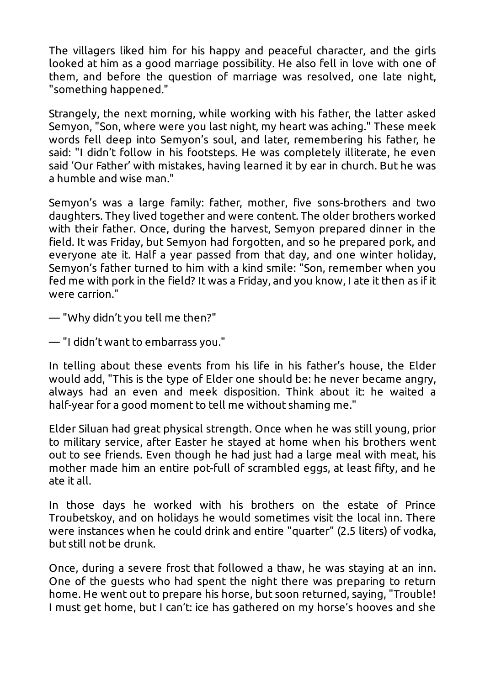The villagers liked him for his happy and peaceful character, and the girls looked at him as a good marriage possibility. He also fell in love with one of them, and before the question of marriage was resolved, one late night, "something happened."

Strangely, the next morning, while working with his father, the latter asked Semyon, "Son, where were you last night, my heart was aching." These meek words fell deep into Semyon's soul, and later, remembering his father, he said: "I didn't follow in his footsteps. He was completely illiterate, he even said 'Our Father' with mistakes, having learned it by ear in church. But he was a humble and wise man."

Semyon's was a large family: father, mother, five sons-brothers and two daughters. They lived together and were content. The older brothers worked with their father. Once, during the harvest, Semyon prepared dinner in the field. It was Friday, but Semyon had forgotten, and so he prepared pork, and everyone ate it. Half a year passed from that day, and one winter holiday, Semyon's father turned to him with a kind smile: "Son, remember when you fed me with pork in the field? It was a Friday, and you know, I ate it then as if it were carrion."

— "Why didn't you tell me then?"

— "I didn't want to embarrass you."

In telling about these events from his life in his father's house, the Elder would add, "This is the type of Elder one should be: he never became angry, always had an even and meek disposition. Think about it: he waited a half-year for a good moment to tell me without shaming me."

Elder Siluan had great physical strength. Once when he was still young, prior to military service, after Easter he stayed at home when his brothers went out to see friends. Even though he had just had a large meal with meat, his mother made him an entire pot-full of scrambled eggs, at least fifty, and he ate it all.

In those days he worked with his brothers on the estate of Prince Troubetskoy, and on holidays he would sometimes visit the local inn. There were instances when he could drink and entire "quarter" (2.5 liters) of vodka, but still not be drunk.

Once, during a severe frost that followed a thaw, he was staying at an inn. One of the guests who had spent the night there was preparing to return home. He went out to prepare his horse, but soon returned, saying, "Trouble! I must get home, but I can't: ice has gathered on my horse's hooves and she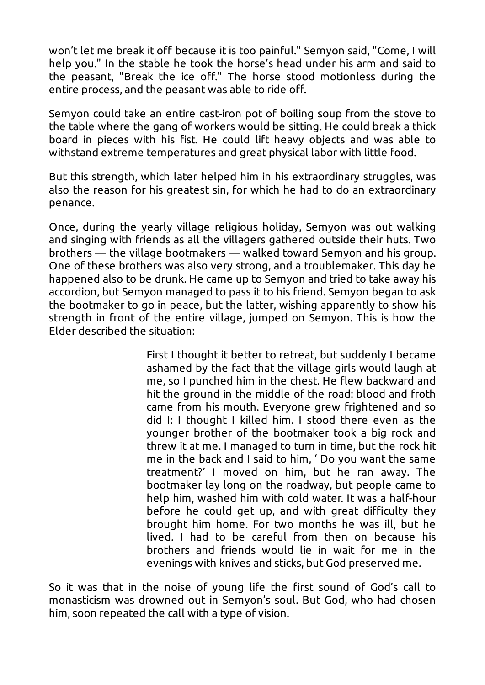won't let me break it off because it is too painful." Semyon said, "Come, I will help you." In the stable he took the horse's head under his arm and said to the peasant, "Break the ice off." The horse stood motionless during the entire process, and the peasant was able to ride off.

Semyon could take an entire cast-iron pot of boiling soup from the stove to the table where the gang of workers would be sitting. He could break a thick board in pieces with his fist. He could lift heavy objects and was able to withstand extreme temperatures and great physical labor with little food.

But this strength, which later helped him in his extraordinary struggles, was also the reason for his greatest sin, for which he had to do an extraordinary penance.

Once, during the yearly village religious holiday, Semyon was out walking and singing with friends as all the villagers gathered outside their huts. Two brothers — the village bootmakers — walked toward Semyon and his group. One of these brothers was also very strong, and a troublemaker. This day he happened also to be drunk. He came up to Semyon and tried to take away his accordion, but Semyon managed to pass it to his friend. Semyon began to ask the bootmaker to go in peace, but the latter, wishing apparently to show his strength in front of the entire village, jumped on Semyon. This is how the Elder described the situation:

> First I thought it better to retreat, but suddenly I became ashamed by the fact that the village girls would laugh at me, so I punched him in the chest. He flew backward and hit the ground in the middle of the road: blood and froth came from his mouth. Everyone grew frightened and so did I: I thought I killed him. I stood there even as the younger brother of the bootmaker took a big rock and threw it at me. I managed to turn in time, but the rock hit me in the back and I said to him, ' Do you want the same treatment?' I moved on him, but he ran away. The bootmaker lay long on the roadway, but people came to help him, washed him with cold water. It was a half-hour before he could get up, and with great difficulty they brought him home. For two months he was ill, but he lived. I had to be careful from then on because his brothers and friends would lie in wait for me in the evenings with knives and sticks, but God preserved me.

So it was that in the noise of young life the first sound of God's call to monasticism was drowned out in Semyon's soul. But God, who had chosen him, soon repeated the call with a type of vision.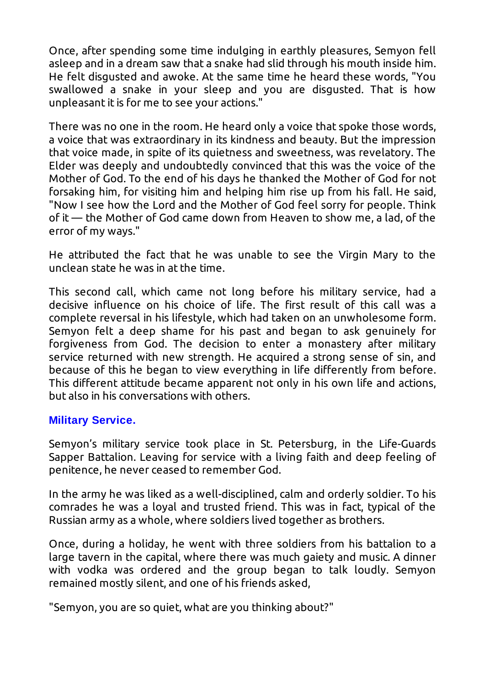Once, after spending some time indulging in earthly pleasures, Semyon fell asleep and in a dream saw that a snake had slid through his mouth inside him. He felt disgusted and awoke. At the same time he heard these words, "You swallowed a snake in your sleep and you are disgusted. That is how unpleasant it is for me to see your actions."

There was no one in the room. He heard only a voice that spoke those words, a voice that was extraordinary in its kindness and beauty. But the impression that voice made, in spite of its quietness and sweetness, was revelatory. The Elder was deeply and undoubtedly convinced that this was the voice of the Mother of God. To the end of his days he thanked the Mother of God for not forsaking him, for visiting him and helping him rise up from his fall. He said, "Now I see how the Lord and the Mother of God feel sorry for people. Think of it — the Mother of God came down from Heaven to show me, a lad, of the error of my ways."

He attributed the fact that he was unable to see the Virgin Mary to the unclean state he was in at the time.

This second call, which came not long before his military service, had a decisive influence on his choice of life. The first result of this call was a complete reversal in his lifestyle, which had taken on an unwholesome form. Semyon felt a deep shame for his past and began to ask genuinely for forgiveness from God. The decision to enter a monastery after military service returned with new strength. He acquired a strong sense of sin, and because of this he began to view everything in life differently from before. This different attitude became apparent not only in his own life and actions, but also in his conversations with others.

#### **Military Service.**

Semyon's military service took place in St. Petersburg, in the Life-Guards Sapper Battalion. Leaving for service with a living faith and deep feeling of penitence, he never ceased to remember God.

In the army he was liked as a well-disciplined, calm and orderly soldier. To his comrades he was a loyal and trusted friend. This was in fact, typical of the Russian army as a whole, where soldiers lived together as brothers.

Once, during a holiday, he went with three soldiers from his battalion to a large tavern in the capital, where there was much gaiety and music. A dinner with vodka was ordered and the group began to talk loudly. Semyon remained mostly silent, and one of his friends asked,

"Semyon, you are so quiet, what are you thinking about?"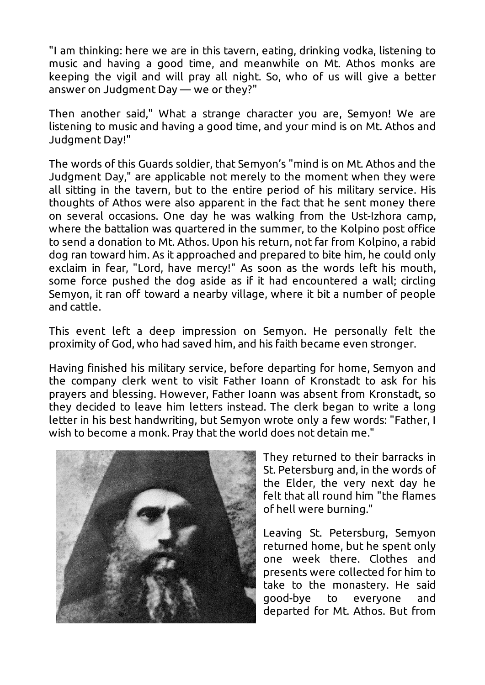"I am thinking: here we are in this tavern, eating, drinking vodka, listening to music and having a good time, and meanwhile on Mt. Athos monks are keeping the vigil and will pray all night. So, who of us will give a better answer on Judgment Day — we or they?"

Then another said," What a strange character you are, Semyon! We are listening to music and having a good time, and your mind is on Mt. Athos and Judgment Day!"

The words of this Guards soldier, that Semyon's "mind is on Mt. Athos and the Judgment Day," are applicable not merely to the moment when they were all sitting in the tavern, but to the entire period of his military service. His thoughts of Athos were also apparent in the fact that he sent money there on several occasions. One day he was walking from the Ust-Izhora camp, where the battalion was quartered in the summer, to the Kolpino post office to send a donation to Mt. Athos. Upon his return, not far from Kolpino, a rabid dog ran toward him. As it approached and prepared to bite him, he could only exclaim in fear, "Lord, have mercy!" As soon as the words left his mouth, some force pushed the dog aside as if it had encountered a wall; circling Semyon, it ran off toward a nearby village, where it bit a number of people and cattle.

This event left a deep impression on Semyon. He personally felt the proximity of God, who had saved him, and his faith became even stronger.

Having finished his military service, before departing for home, Semyon and the company clerk went to visit Father Ioann of Kronstadt to ask for his prayers and blessing. However, Father Ioann was absent from Kronstadt, so they decided to leave him letters instead. The clerk began to write a long letter in his best handwriting, but Semyon wrote only a few words: "Father, I wish to become a monk. Pray that the world does not detain me."



They returned to their barracks in St. Petersburg and, in the words of the Elder, the very next day he felt that all round him "the flames of hell were burning."

Leaving St. Petersburg, Semyon returned home, but he spent only one week there. Clothes and presents were collected for him to take to the monastery. He said good-bye to everyone and departed for Mt. Athos. But from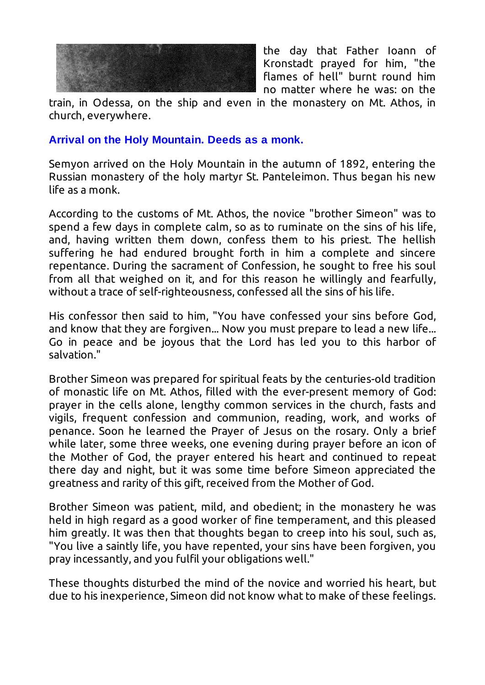

the day that Father Ioann of Kronstadt prayed for him, "the flames of hell" burnt round him no matter where he was: on the

train, in Odessa, on the ship and even in the monastery on Mt. Athos, in church, everywhere.

#### **Arrival on the Holy Mountain. Deeds as a monk.**

Semyon arrived on the Holy Mountain in the autumn of 1892, entering the Russian monastery of the holy martyr St. Panteleimon. Thus began his new life as a monk.

According to the customs of Mt. Athos, the novice "brother Simeon" was to spend a few days in complete calm, so as to ruminate on the sins of his life, and, having written them down, confess them to his priest. The hellish suffering he had endured brought forth in him a complete and sincere repentance. During the sacrament of Confession, he sought to free his soul from all that weighed on it, and for this reason he willingly and fearfully, without a trace of self-righteousness, confessed all the sins of his life.

His confessor then said to him, "You have confessed your sins before God, and know that they are forgiven... Now you must prepare to lead a new life... Go in peace and be joyous that the Lord has led you to this harbor of salvation."

Brother Simeon was prepared for spiritual feats by the centuries-old tradition of monastic life on Mt. Athos, filled with the ever-present memory of God: prayer in the cells alone, lengthy common services in the church, fasts and vigils, frequent confession and communion, reading, work, and works of penance. Soon he learned the Prayer of Jesus on the rosary. Only a brief while later, some three weeks, one evening during prayer before an icon of the Mother of God, the prayer entered his heart and continued to repeat there day and night, but it was some time before Simeon appreciated the greatness and rarity of this gift, received from the Mother of God.

Brother Simeon was patient, mild, and obedient; in the monastery he was held in high regard as a good worker of fine temperament, and this pleased him greatly. It was then that thoughts began to creep into his soul, such as, "You live a saintly life, you have repented, your sins have been forgiven, you pray incessantly, and you fulfil your obligations well."

These thoughts disturbed the mind of the novice and worried his heart, but due to his inexperience, Simeon did not know what to make of these feelings.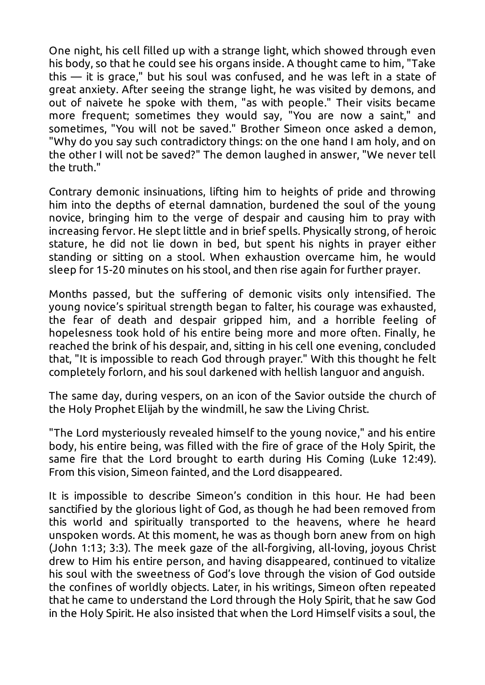One night, his cell filled up with a strange light, which showed through even his body, so that he could see his organs inside. A thought came to him, "Take this — it is grace," but his soul was confused, and he was left in a state of great anxiety. After seeing the strange light, he was visited by demons, and out of naivete he spoke with them, "as with people." Their visits became more frequent; sometimes they would say, "You are now a saint," and sometimes, "You will not be saved." Brother Simeon once asked a demon, "Why do you say such contradictory things: on the one hand I am holy, and on the other I will not be saved?" The demon laughed in answer, "We never tell the truth."

Contrary demonic insinuations, lifting him to heights of pride and throwing him into the depths of eternal damnation, burdened the soul of the young novice, bringing him to the verge of despair and causing him to pray with increasing fervor. He slept little and in brief spells. Physically strong, of heroic stature, he did not lie down in bed, but spent his nights in prayer either standing or sitting on a stool. When exhaustion overcame him, he would sleep for 15-20 minutes on his stool, and then rise again for further prayer.

Months passed, but the suffering of demonic visits only intensified. The young novice's spiritual strength began to falter, his courage was exhausted, the fear of death and despair gripped him, and a horrible feeling of hopelesness took hold of his entire being more and more often. Finally, he reached the brink of his despair, and, sitting in his cell one evening, concluded that, "It is impossible to reach God through prayer." With this thought he felt completely forlorn, and his soul darkened with hellish languor and anguish.

The same day, during vespers, on an icon of the Savior outside the church of the Holy Prophet Elijah by the windmill, he saw the Living Christ.

"The Lord mysteriously revealed himself to the young novice," and his entire body, his entire being, was filled with the fire of grace of the Holy Spirit, the same fire that the Lord brought to earth during His Coming (Luke 12:49). From this vision, Simeon fainted, and the Lord disappeared.

It is impossible to describe Simeon's condition in this hour. He had been sanctified by the glorious light of God, as though he had been removed from this world and spiritually transported to the heavens, where he heard unspoken words. At this moment, he was as though born anew from on high (John 1:13; 3:3). The meek gaze of the all-forgiving, all-loving, joyous Christ drew to Him his entire person, and having disappeared, continued to vitalize his soul with the sweetness of God's love through the vision of God outside the confines of worldly objects. Later, in his writings, Simeon often repeated that he came to understand the Lord through the Holy Spirit, that he saw God in the Holy Spirit. He also insisted that when the Lord Himself visits a soul, the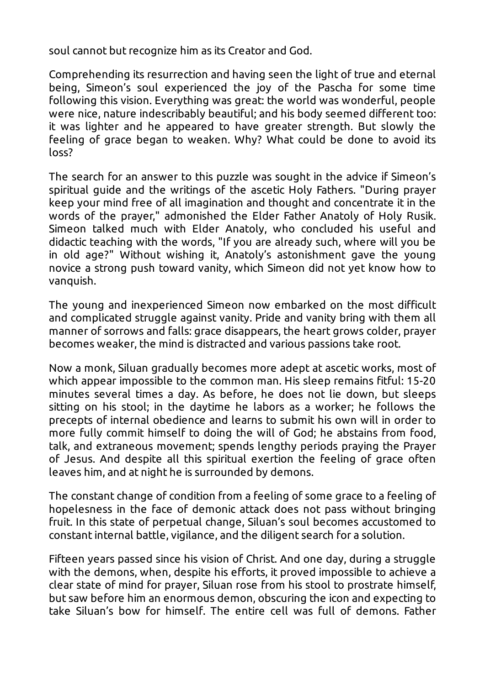soul cannot but recognize him as its Creator and God.

Comprehending its resurrection and having seen the light of true and eternal being, Simeon's soul experienced the joy of the Pascha for some time following this vision. Everything was great: the world was wonderful, people were nice, nature indescribably beautiful; and his body seemed different too: it was lighter and he appeared to have greater strength. But slowly the feeling of grace began to weaken. Why? What could be done to avoid its loss?

The search for an answer to this puzzle was sought in the advice if Simeon's spiritual guide and the writings of the ascetic Holy Fathers. "During prayer keep your mind free of all imagination and thought and concentrate it in the words of the prayer," admonished the Elder Father Anatoly of Holy Rusik. Simeon talked much with Elder Anatoly, who concluded his useful and didactic teaching with the words, "If you are already such, where will you be in old age?" Without wishing it, Anatoly's astonishment gave the young novice a strong push toward vanity, which Simeon did not yet know how to vanquish.

The young and inexperienced Simeon now embarked on the most difficult and complicated struggle against vanity. Pride and vanity bring with them all manner of sorrows and falls: grace disappears, the heart grows colder, prayer becomes weaker, the mind is distracted and various passions take root.

Now a monk, Siluan gradually becomes more adept at ascetic works, most of which appear impossible to the common man. His sleep remains fitful: 15-20 minutes several times a day. As before, he does not lie down, but sleeps sitting on his stool; in the daytime he labors as a worker; he follows the precepts of internal obedience and learns to submit his own will in order to more fully commit himself to doing the will of God; he abstains from food, talk, and extraneous movement; spends lengthy periods praying the Prayer of Jesus. And despite all this spiritual exertion the feeling of grace often leaves him, and at night he is surrounded by demons.

The constant change of condition from a feeling of some grace to a feeling of hopelesness in the face of demonic attack does not pass without bringing fruit. In this state of perpetual change, Siluan's soul becomes accustomed to constant internal battle, vigilance, and the diligent search for a solution.

Fifteen years passed since his vision of Christ. And one day, during a struggle with the demons, when, despite his efforts, it proved impossible to achieve a clear state of mind for prayer, Siluan rose from his stool to prostrate himself, but saw before him an enormous demon, obscuring the icon and expecting to take Siluan's bow for himself. The entire cell was full of demons. Father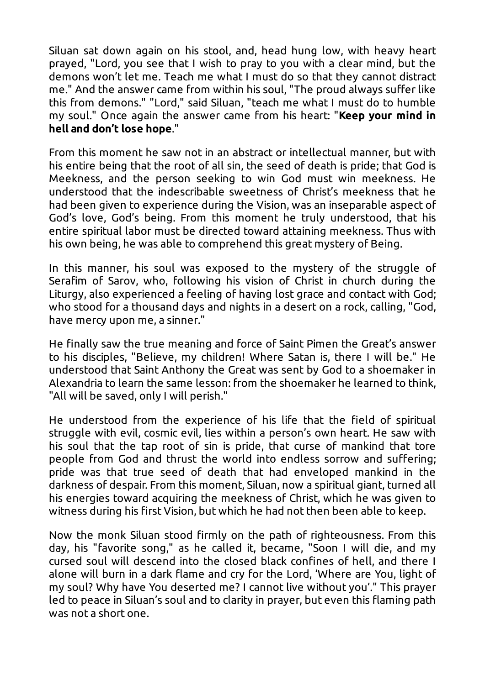Siluan sat down again on his stool, and, head hung low, with heavy heart prayed, "Lord, you see that I wish to pray to you with a clear mind, but the demons won't let me. Teach me what I must do so that they cannot distract me." And the answer came from within his soul, "The proud always suffer like this from demons." "Lord," said Siluan, "teach me what I must do to humble my soul." Once again the answer came from his heart: "**Keep your mind in hell and don't lose hope**."

From this moment he saw not in an abstract or intellectual manner, but with his entire being that the root of all sin, the seed of death is pride; that God is Meekness, and the person seeking to win God must win meekness. He understood that the indescribable sweetness of Christ's meekness that he had been given to experience during the Vision, was an inseparable aspect of God's love, God's being. From this moment he truly understood, that his entire spiritual labor must be directed toward attaining meekness. Thus with his own being, he was able to comprehend this great mystery of Being.

In this manner, his soul was exposed to the mystery of the struggle of Serafim of Sarov, who, following his vision of Christ in church during the Liturgy, also experienced a feeling of having lost grace and contact with God; who stood for a thousand days and nights in a desert on a rock, calling, "God, have mercy upon me, a sinner."

He finally saw the true meaning and force of Saint Pimen the Great's answer to his disciples, "Believe, my children! Where Satan is, there I will be." He understood that Saint Anthony the Great was sent by God to a shoemaker in Alexandria to learn the same lesson: from the shoemaker he learned to think, "All will be saved, only I will perish."

He understood from the experience of his life that the field of spiritual struggle with evil, cosmic evil, lies within a person's own heart. He saw with his soul that the tap root of sin is pride, that curse of mankind that tore people from God and thrust the world into endless sorrow and suffering; pride was that true seed of death that had enveloped mankind in the darkness of despair. From this moment, Siluan, now a spiritual giant, turned all his energies toward acquiring the meekness of Christ, which he was given to witness during his first Vision, but which he had not then been able to keep.

Now the monk Siluan stood firmly on the path of righteousness. From this day, his "favorite song," as he called it, became, "Soon I will die, and my cursed soul will descend into the closed black confines of hell, and there I alone will burn in a dark flame and cry for the Lord, 'Where are You, light of my soul? Why have You deserted me? I cannot live without you'." This prayer led to peace in Siluan's soul and to clarity in prayer, but even this flaming path was not a short one.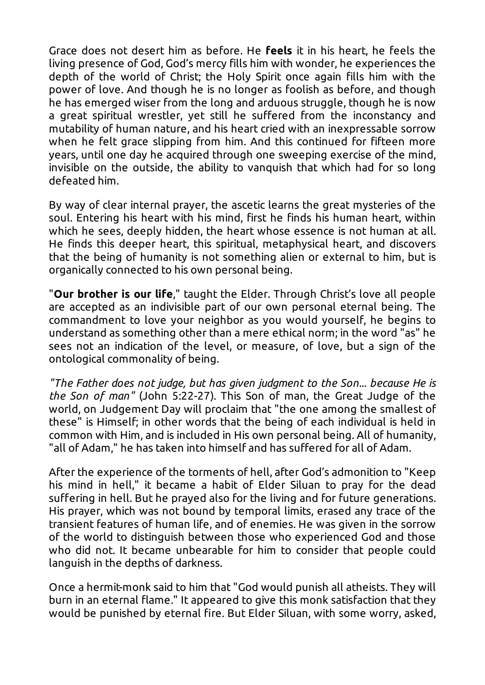Grace does not desert him as before. He **feels** it in his heart, he feels the living presence of God, God's mercy fills him with wonder, he experiences the depth of the world of Christ; the Holy Spirit once again fills him with the power of love. And though he is no longer as foolish as before, and though he has emerged wiser from the long and arduous struggle, though he is now a great spiritual wrestler, yet still he suffered from the inconstancy and mutability of human nature, and his heart cried with an inexpressable sorrow when he felt grace slipping from him. And this continued for fifteen more years, until one day he acquired through one sweeping exercise of the mind, invisible on the outside, the ability to vanquish that which had for so long defeated him.

By way of clear internal prayer, the ascetic learns the great mysteries of the soul. Entering his heart with his mind, first he finds his human heart, within which he sees, deeply hidden, the heart whose essence is not human at all. He finds this deeper heart, this spiritual, metaphysical heart, and discovers that the being of humanity is not something alien or external to him, but is organically connected to his own personal being.

"**Our brother is our life**," taught the Elder. Through Christ's love all people are accepted as an indivisible part of our own personal eternal being. The commandment to love your neighbor as you would yourself, he begins to understand as something other than a mere ethical norm; in the word "as" he sees not an indication of the level, or measure, of love, but a sign of the ontological commonality of being.

*"The Father does not judge, but has given judgment to the Son... because He is the Son of man"* (John 5:22-27). This Son of man, the Great Judge of the world, on Judgement Day will proclaim that "the one among the smallest of these" is Himself; in other words that the being of each individual is held in common with Him, and is included in His own personal being. All of humanity, "all of Adam," he has taken into himself and has suffered for all of Adam.

After the experience of the torments of hell, after God's admonition to "Keep his mind in hell," it became a habit of Elder Siluan to pray for the dead suffering in hell. But he prayed also for the living and for future generations. His prayer, which was not bound by temporal limits, erased any trace of the transient features of human life, and of enemies. He was given in the sorrow of the world to distinguish between those who experienced God and those who did not. It became unbearable for him to consider that people could languish in the depths of darkness.

Once a hermit-monk said to him that "God would punish all atheists. They will burn in an eternal flame." It appeared to give this monk satisfaction that they would be punished by eternal fire. But Elder Siluan, with some worry, asked,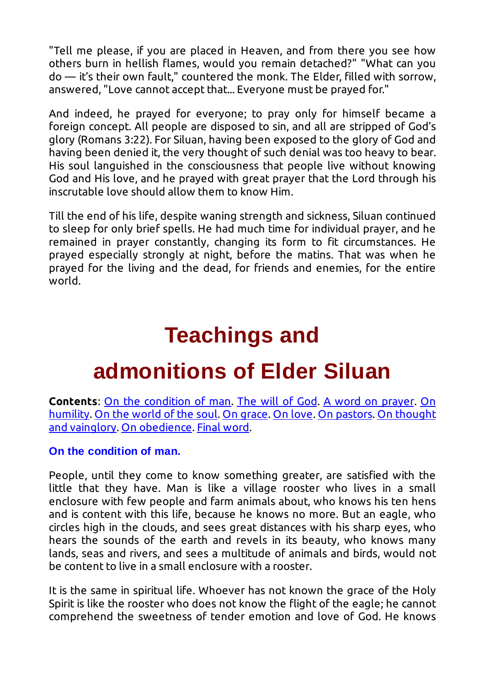"Tell me please, if you are placed in Heaven, and from there you see how others burn in hellish flames, would you remain detached?" "What can you do — it's their own fault," countered the monk. The Elder, filled with sorrow, answered, "Love cannot accept that... Everyone must be prayed for."

And indeed, he prayed for everyone; to pray only for himself became a foreign concept. All people are disposed to sin, and all are stripped of God's glory (Romans 3:22). For Siluan, having been exposed to the glory of God and having been denied it, the very thought of such denial was too heavy to bear. His soul languished in the consciousness that people live without knowing God and His love, and he prayed with great prayer that the Lord through his inscrutable love should allow them to know Him.

Till the end of his life, despite waning strength and sickness, Siluan continued to sleep for only brief spells. He had much time for individual prayer, and he remained in prayer constantly, changing its form to fit circumstances. He prayed especially strongly at night, before the matins. That was when he prayed for the living and the dead, for friends and enemies, for the entire world.

### **Teachings and**

### **admonitions of Elder Siluan**

**Contents**: On the condition of man. The will of God. A word on prayer. On humility. On the world of the soul. On grace. On love. On pastors. On thought and vainglory. On obedience. Final word.

#### **On the condition of man.**

People, until they come to know something greater, are satisfied with the little that they have. Man is like a village rooster who lives in a small enclosure with few people and farm animals about, who knows his ten hens and is content with this life, because he knows no more. But an eagle, who circles high in the clouds, and sees great distances with his sharp eyes, who hears the sounds of the earth and revels in its beauty, who knows many lands, seas and rivers, and sees a multitude of animals and birds, would not be content to live in a small enclosure with a rooster.

It is the same in spiritual life. Whoever has not known the grace of the Holy Spirit is like the rooster who does not know the flight of the eagle; he cannot comprehend the sweetness of tender emotion and love of God. He knows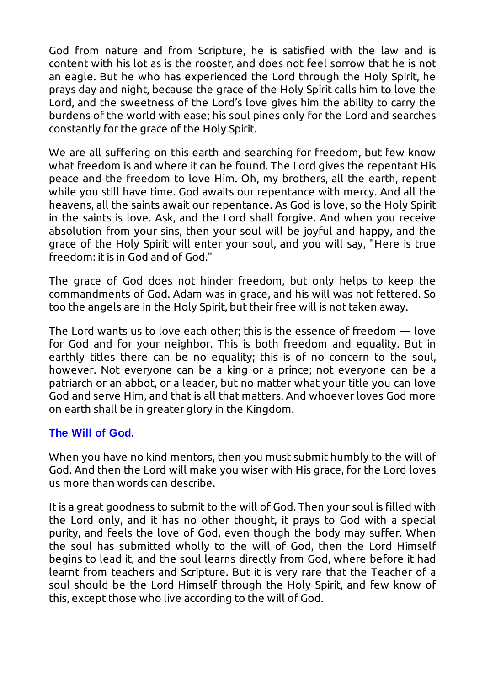God from nature and from Scripture, he is satisfied with the law and is content with his lot as is the rooster, and does not feel sorrow that he is not an eagle. But he who has experienced the Lord through the Holy Spirit, he prays day and night, because the grace of the Holy Spirit calls him to love the Lord, and the sweetness of the Lord's love gives him the ability to carry the burdens of the world with ease; his soul pines only for the Lord and searches constantly for the grace of the Holy Spirit.

We are all suffering on this earth and searching for freedom, but few know what freedom is and where it can be found. The Lord gives the repentant His peace and the freedom to love Him. Oh, my brothers, all the earth, repent while you still have time. God awaits our repentance with mercy. And all the heavens, all the saints await our repentance. As God is love, so the Holy Spirit in the saints is love. Ask, and the Lord shall forgive. And when you receive absolution from your sins, then your soul will be joyful and happy, and the grace of the Holy Spirit will enter your soul, and you will say, "Here is true freedom: it is in God and of God."

The grace of God does not hinder freedom, but only helps to keep the commandments of God. Adam was in grace, and his will was not fettered. So too the angels are in the Holy Spirit, but their free will is not taken away.

The Lord wants us to love each other; this is the essence of freedom — love for God and for your neighbor. This is both freedom and equality. But in earthly titles there can be no equality; this is of no concern to the soul, however. Not everyone can be a king or a prince; not everyone can be a patriarch or an abbot, or a leader, but no matter what your title you can love God and serve Him, and that is all that matters. And whoever loves God more on earth shall be in greater glory in the Kingdom.

#### **The Will of God.**

When you have no kind mentors, then you must submit humbly to the will of God. And then the Lord will make you wiser with His grace, for the Lord loves us more than words can describe.

It is a great goodness to submit to the will of God. Then your soul is filled with the Lord only, and it has no other thought, it prays to God with a special purity, and feels the love of God, even though the body may suffer. When the soul has submitted wholly to the will of God, then the Lord Himself begins to lead it, and the soul learns directly from God, where before it had learnt from teachers and Scripture. But it is very rare that the Teacher of a soul should be the Lord Himself through the Holy Spirit, and few know of this, except those who live according to the will of God.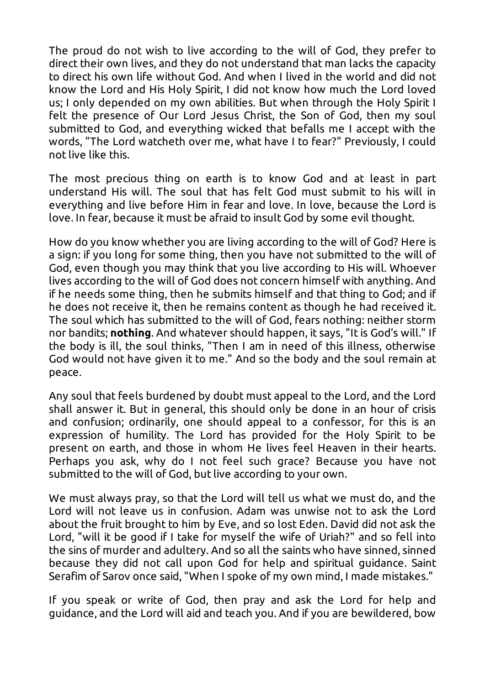The proud do not wish to live according to the will of God, they prefer to direct their own lives, and they do not understand that man lacks the capacity to direct his own life without God. And when I lived in the world and did not know the Lord and His Holy Spirit, I did not know how much the Lord loved us; I only depended on my own abilities. But when through the Holy Spirit I felt the presence of Our Lord Jesus Christ, the Son of God, then my soul submitted to God, and everything wicked that befalls me I accept with the words, "The Lord watcheth over me, what have I to fear?" Previously, I could not live like this.

The most precious thing on earth is to know God and at least in part understand His will. The soul that has felt God must submit to his will in everything and live before Him in fear and love. In love, because the Lord is love. In fear, because it must be afraid to insult God by some evil thought.

How do you know whether you are living according to the will of God? Here is a sign: if you long for some thing, then you have not submitted to the will of God, even though you may think that you live according to His will. Whoever lives according to the will of God does not concern himself with anything. And if he needs some thing, then he submits himself and that thing to God; and if he does not receive it, then he remains content as though he had received it. The soul which has submitted to the will of God, fears nothing: neither storm nor bandits; **nothing**. And whatever should happen, it says, "It is God's will." If the body is ill, the soul thinks, "Then I am in need of this illness, otherwise God would not have given it to me." And so the body and the soul remain at peace.

Any soul that feels burdened by doubt must appeal to the Lord, and the Lord shall answer it. But in general, this should only be done in an hour of crisis and confusion; ordinarily, one should appeal to a confessor, for this is an expression of humility. The Lord has provided for the Holy Spirit to be present on earth, and those in whom He lives feel Heaven in their hearts. Perhaps you ask, why do I not feel such grace? Because you have not submitted to the will of God, but live according to your own.

We must always pray, so that the Lord will tell us what we must do, and the Lord will not leave us in confusion. Adam was unwise not to ask the Lord about the fruit brought to him by Eve, and so lost Eden. David did not ask the Lord, "will it be good if I take for myself the wife of Uriah?" and so fell into the sins of murder and adultery. And so all the saints who have sinned, sinned because they did not call upon God for help and spiritual guidance. Saint Serafim of Sarov once said, "When I spoke of my own mind, I made mistakes."

If you speak or write of God, then pray and ask the Lord for help and guidance, and the Lord will aid and teach you. And if you are bewildered, bow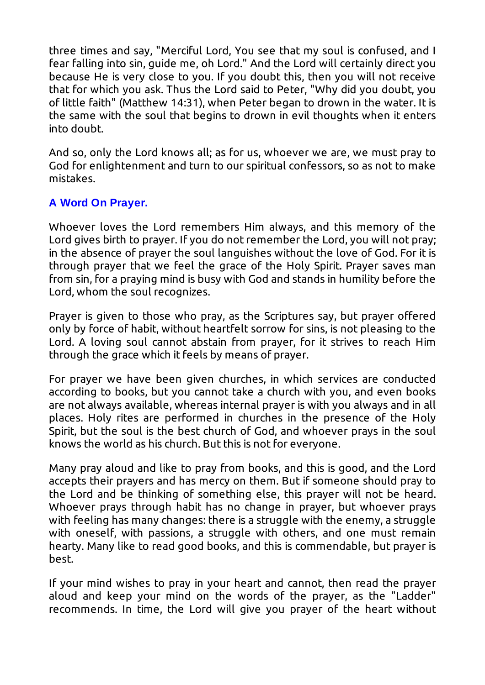three times and say, "Merciful Lord, You see that my soul is confused, and I fear falling into sin, guide me, oh Lord." And the Lord will certainly direct you because He is very close to you. If you doubt this, then you will not receive that for which you ask. Thus the Lord said to Peter, "Why did you doubt, you of little faith" (Matthew 14:31), when Peter began to drown in the water. It is the same with the soul that begins to drown in evil thoughts when it enters into doubt.

And so, only the Lord knows all; as for us, whoever we are, we must pray to God for enlightenment and turn to our spiritual confessors, so as not to make mistakes.

#### **A Word On Prayer.**

Whoever loves the Lord remembers Him always, and this memory of the Lord gives birth to prayer. If you do not remember the Lord, you will not pray; in the absence of prayer the soul languishes without the love of God. For it is through prayer that we feel the grace of the Holy Spirit. Prayer saves man from sin, for a praying mind is busy with God and stands in humility before the Lord, whom the soul recognizes.

Prayer is given to those who pray, as the Scriptures say, but prayer offered only by force of habit, without heartfelt sorrow for sins, is not pleasing to the Lord. A loving soul cannot abstain from prayer, for it strives to reach Him through the grace which it feels by means of prayer.

For prayer we have been given churches, in which services are conducted according to books, but you cannot take a church with you, and even books are not always available, whereas internal prayer is with you always and in all places. Holy rites are performed in churches in the presence of the Holy Spirit, but the soul is the best church of God, and whoever prays in the soul knows the world as his church. But this is not for everyone.

Many pray aloud and like to pray from books, and this is good, and the Lord accepts their prayers and has mercy on them. But if someone should pray to the Lord and be thinking of something else, this prayer will not be heard. Whoever prays through habit has no change in prayer, but whoever prays with feeling has many changes: there is a struggle with the enemy, a struggle with oneself, with passions, a struggle with others, and one must remain hearty. Many like to read good books, and this is commendable, but prayer is best.

If your mind wishes to pray in your heart and cannot, then read the prayer aloud and keep your mind on the words of the prayer, as the "Ladder" recommends. In time, the Lord will give you prayer of the heart without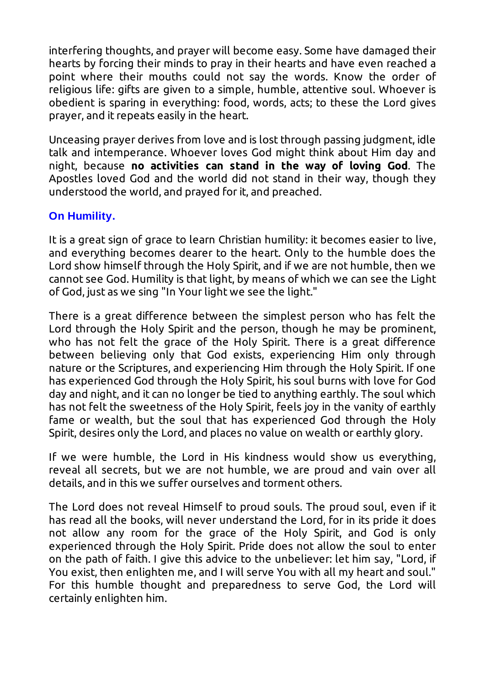interfering thoughts, and prayer will become easy. Some have damaged their hearts by forcing their minds to pray in their hearts and have even reached a point where their mouths could not say the words. Know the order of religious life: gifts are given to a simple, humble, attentive soul. Whoever is obedient is sparing in everything: food, words, acts; to these the Lord gives prayer, and it repeats easily in the heart.

Unceasing prayer derives from love and is lost through passing judgment, idle talk and intemperance. Whoever loves God might think about Him day and night, because **no activities can stand in the way of loving God**. The Apostles loved God and the world did not stand in their way, though they understood the world, and prayed for it, and preached.

#### **On Humility.**

It is a great sign of grace to learn Christian humility: it becomes easier to live, and everything becomes dearer to the heart. Only to the humble does the Lord show himself through the Holy Spirit, and if we are not humble, then we cannot see God. Humility is that light, by means of which we can see the Light of God, just as we sing "In Your light we see the light."

There is a great difference between the simplest person who has felt the Lord through the Holy Spirit and the person, though he may be prominent, who has not felt the grace of the Holy Spirit. There is a great difference between believing only that God exists, experiencing Him only through nature or the Scriptures, and experiencing Him through the Holy Spirit. If one has experienced God through the Holy Spirit, his soul burns with love for God day and night, and it can no longer be tied to anything earthly. The soul which has not felt the sweetness of the Holy Spirit, feels joy in the vanity of earthly fame or wealth, but the soul that has experienced God through the Holy Spirit, desires only the Lord, and places no value on wealth or earthly glory.

If we were humble, the Lord in His kindness would show us everything, reveal all secrets, but we are not humble, we are proud and vain over all details, and in this we suffer ourselves and torment others.

The Lord does not reveal Himself to proud souls. The proud soul, even if it has read all the books, will never understand the Lord, for in its pride it does not allow any room for the grace of the Holy Spirit, and God is only experienced through the Holy Spirit. Pride does not allow the soul to enter on the path of faith. I give this advice to the unbeliever: let him say, "Lord, if You exist, then enlighten me, and I will serve You with all my heart and soul." For this humble thought and preparedness to serve God, the Lord will certainly enlighten him.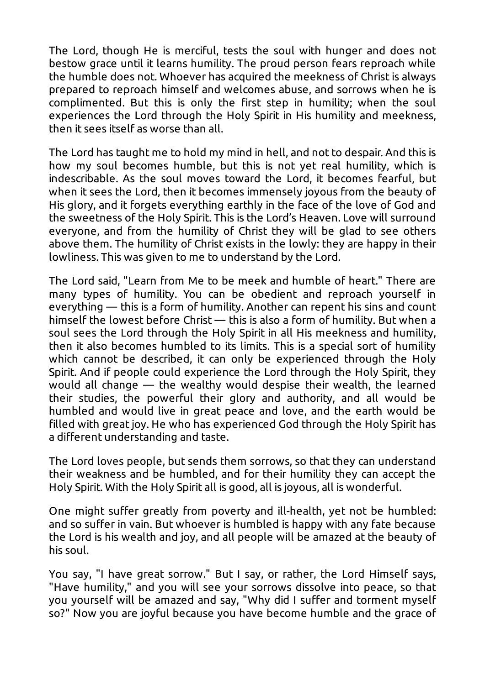The Lord, though He is merciful, tests the soul with hunger and does not bestow grace until it learns humility. The proud person fears reproach while the humble does not. Whoever has acquired the meekness of Christ is always prepared to reproach himself and welcomes abuse, and sorrows when he is complimented. But this is only the first step in humility; when the soul experiences the Lord through the Holy Spirit in His humility and meekness, then it sees itself as worse than all.

The Lord has taught me to hold my mind in hell, and not to despair. And this is how my soul becomes humble, but this is not yet real humility, which is indescribable. As the soul moves toward the Lord, it becomes fearful, but when it sees the Lord, then it becomes immensely joyous from the beauty of His glory, and it forgets everything earthly in the face of the love of God and the sweetness of the Holy Spirit. This is the Lord's Heaven. Love will surround everyone, and from the humility of Christ they will be glad to see others above them. The humility of Christ exists in the lowly: they are happy in their lowliness. This was given to me to understand by the Lord.

The Lord said, "Learn from Me to be meek and humble of heart." There are many types of humility. You can be obedient and reproach yourself in everything — this is a form of humility. Another can repent his sins and count himself the lowest before Christ — this is also a form of humility. But when a soul sees the Lord through the Holy Spirit in all His meekness and humility, then it also becomes humbled to its limits. This is a special sort of humility which cannot be described, it can only be experienced through the Holy Spirit. And if people could experience the Lord through the Holy Spirit, they would all change — the wealthy would despise their wealth, the learned their studies, the powerful their glory and authority, and all would be humbled and would live in great peace and love, and the earth would be filled with great joy. He who has experienced God through the Holy Spirit has a different understanding and taste.

The Lord loves people, but sends them sorrows, so that they can understand their weakness and be humbled, and for their humility they can accept the Holy Spirit. With the Holy Spirit all is good, all is joyous, all is wonderful.

One might suffer greatly from poverty and ill-health, yet not be humbled: and so suffer in vain. But whoever is humbled is happy with any fate because the Lord is his wealth and joy, and all people will be amazed at the beauty of his soul.

You say, "I have great sorrow." But I say, or rather, the Lord Himself says, "Have humility," and you will see your sorrows dissolve into peace, so that you yourself will be amazed and say, "Why did I suffer and torment myself so?" Now you are joyful because you have become humble and the grace of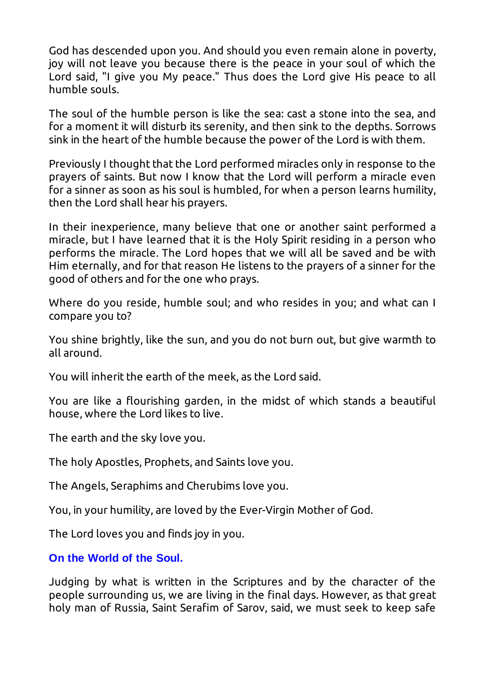God has descended upon you. And should you even remain alone in poverty, joy will not leave you because there is the peace in your soul of which the Lord said, "I give you My peace." Thus does the Lord give His peace to all humble souls.

The soul of the humble person is like the sea: cast a stone into the sea, and for a moment it will disturb its serenity, and then sink to the depths. Sorrows sink in the heart of the humble because the power of the Lord is with them.

Previously I thought that the Lord performed miracles only in response to the prayers of saints. But now I know that the Lord will perform a miracle even for a sinner as soon as his soul is humbled, for when a person learns humility, then the Lord shall hear his prayers.

In their inexperience, many believe that one or another saint performed a miracle, but I have learned that it is the Holy Spirit residing in a person who performs the miracle. The Lord hopes that we will all be saved and be with Him eternally, and for that reason He listens to the prayers of a sinner for the good of others and for the one who prays.

Where do you reside, humble soul; and who resides in you; and what can I compare you to?

You shine brightly, like the sun, and you do not burn out, but give warmth to all around.

You will inherit the earth of the meek, as the Lord said.

You are like a flourishing garden, in the midst of which stands a beautiful house, where the Lord likes to live.

The earth and the sky love you.

The holy Apostles, Prophets, and Saints love you.

The Angels, Seraphims and Cherubims love you.

You, in your humility, are loved by the Ever-Virgin Mother of God.

The Lord loves you and finds joy in you.

#### **On the World of the Soul.**

Judging by what is written in the Scriptures and by the character of the people surrounding us, we are living in the final days. However, as that great holy man of Russia, Saint Serafim of Sarov, said, we must seek to keep safe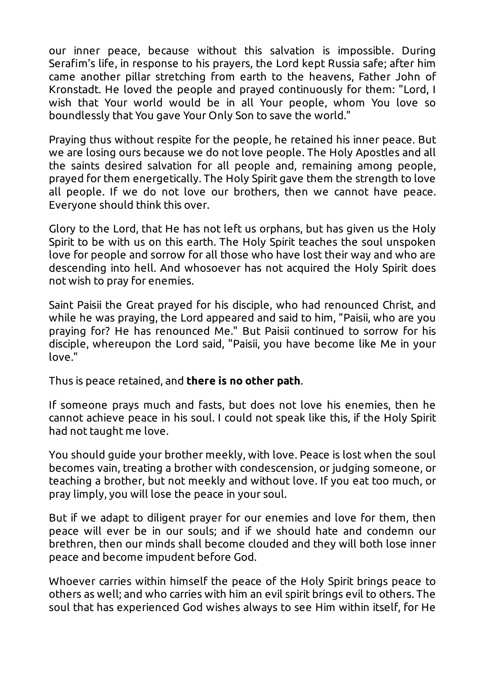our inner peace, because without this salvation is impossible. During Serafim's life, in response to his prayers, the Lord kept Russia safe; after him came another pillar stretching from earth to the heavens, Father John of Kronstadt. He loved the people and prayed continuously for them: "Lord, I wish that Your world would be in all Your people, whom You love so boundlessly that You gave Your Only Son to save the world."

Praying thus without respite for the people, he retained his inner peace. But we are losing ours because we do not love people. The Holy Apostles and all the saints desired salvation for all people and, remaining among people, prayed for them energetically. The Holy Spirit gave them the strength to love all people. If we do not love our brothers, then we cannot have peace. Everyone should think this over.

Glory to the Lord, that He has not left us orphans, but has given us the Holy Spirit to be with us on this earth. The Holy Spirit teaches the soul unspoken love for people and sorrow for all those who have lost their way and who are descending into hell. And whosoever has not acquired the Holy Spirit does not wish to pray for enemies.

Saint Paisii the Great prayed for his disciple, who had renounced Christ, and while he was praying, the Lord appeared and said to him, "Paisii, who are you praying for? He has renounced Me." But Paisii continued to sorrow for his disciple, whereupon the Lord said, "Paisii, you have become like Me in your love."

Thus is peace retained, and **there is no other path**.

If someone prays much and fasts, but does not love his enemies, then he cannot achieve peace in his soul. I could not speak like this, if the Holy Spirit had not taught me love.

You should guide your brother meekly, with love. Peace is lost when the soul becomes vain, treating a brother with condescension, or judging someone, or teaching a brother, but not meekly and without love. If you eat too much, or pray limply, you will lose the peace in your soul.

But if we adapt to diligent prayer for our enemies and love for them, then peace will ever be in our souls; and if we should hate and condemn our brethren, then our minds shall become clouded and they will both lose inner peace and become impudent before God.

Whoever carries within himself the peace of the Holy Spirit brings peace to others as well; and who carries with him an evil spirit brings evil to others. The soul that has experienced God wishes always to see Him within itself, for He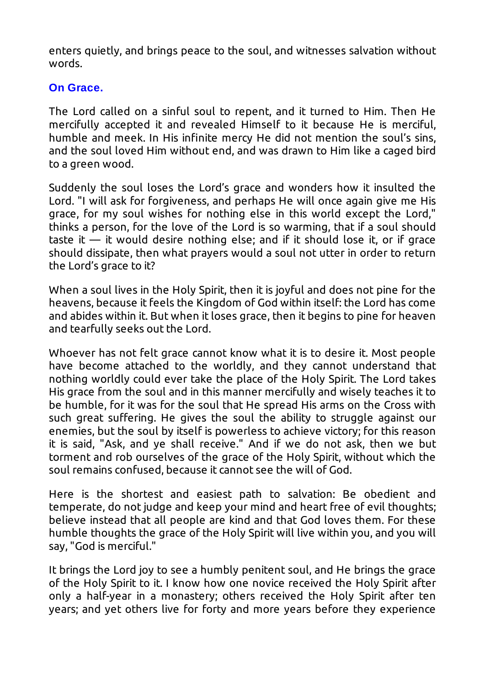enters quietly, and brings peace to the soul, and witnesses salvation without words.

#### **On Grace.**

The Lord called on a sinful soul to repent, and it turned to Him. Then He mercifully accepted it and revealed Himself to it because He is merciful, humble and meek. In His infinite mercy He did not mention the soul's sins, and the soul loved Him without end, and was drawn to Him like a caged bird to a green wood.

Suddenly the soul loses the Lord's grace and wonders how it insulted the Lord. "I will ask for forgiveness, and perhaps He will once again give me His grace, for my soul wishes for nothing else in this world except the Lord," thinks a person, for the love of the Lord is so warming, that if a soul should taste it  $-$  it would desire nothing else; and if it should lose it, or if grace should dissipate, then what prayers would a soul not utter in order to return the Lord's grace to it?

When a soul lives in the Holy Spirit, then it is joyful and does not pine for the heavens, because it feels the Kingdom of God within itself: the Lord has come and abides within it. But when it loses grace, then it begins to pine for heaven and tearfully seeks out the Lord.

Whoever has not felt grace cannot know what it is to desire it. Most people have become attached to the worldly, and they cannot understand that nothing worldly could ever take the place of the Holy Spirit. The Lord takes His grace from the soul and in this manner mercifully and wisely teaches it to be humble, for it was for the soul that He spread His arms on the Cross with such great suffering. He gives the soul the ability to struggle against our enemies, but the soul by itself is powerless to achieve victory; for this reason it is said, "Ask, and ye shall receive." And if we do not ask, then we but torment and rob ourselves of the grace of the Holy Spirit, without which the soul remains confused, because it cannot see the will of God.

Here is the shortest and easiest path to salvation: Be obedient and temperate, do not judge and keep your mind and heart free of evil thoughts; believe instead that all people are kind and that God loves them. For these humble thoughts the grace of the Holy Spirit will live within you, and you will say, "God is merciful."

It brings the Lord joy to see a humbly penitent soul, and He brings the grace of the Holy Spirit to it. I know how one novice received the Holy Spirit after only a half-year in a monastery; others received the Holy Spirit after ten years; and yet others live for forty and more years before they experience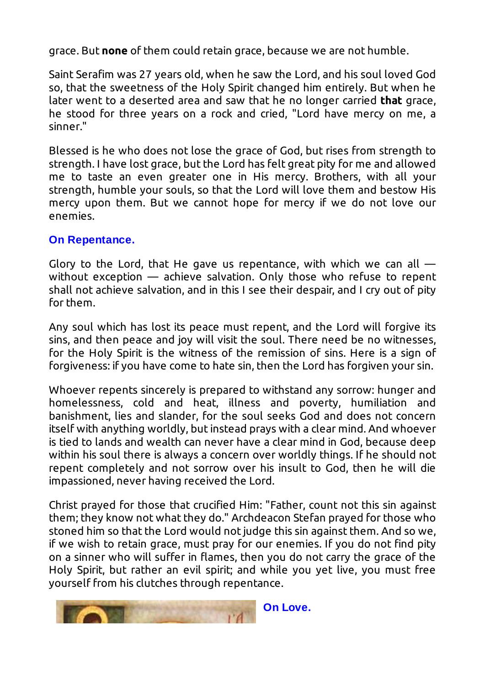grace. But **none** of them could retain grace, because we are not humble.

Saint Serafim was 27 years old, when he saw the Lord, and his soul loved God so, that the sweetness of the Holy Spirit changed him entirely. But when he later went to a deserted area and saw that he no longer carried **that** grace, he stood for three years on a rock and cried, "Lord have mercy on me, a sinner."

Blessed is he who does not lose the grace of God, but rises from strength to strength. I have lost grace, but the Lord has felt great pity for me and allowed me to taste an even greater one in His mercy. Brothers, with all your strength, humble your souls, so that the Lord will love them and bestow His mercy upon them. But we cannot hope for mercy if we do not love our enemies.

#### **On Repentance.**

Glory to the Lord, that He gave us repentance, with which we can all  $$ without exception — achieve salvation. Only those who refuse to repent shall not achieve salvation, and in this I see their despair, and I cry out of pity for them.

Any soul which has lost its peace must repent, and the Lord will forgive its sins, and then peace and joy will visit the soul. There need be no witnesses, for the Holy Spirit is the witness of the remission of sins. Here is a sign of forgiveness: if you have come to hate sin, then the Lord has forgiven your sin.

Whoever repents sincerely is prepared to withstand any sorrow: hunger and homelessness, cold and heat, illness and poverty, humiliation and banishment, lies and slander, for the soul seeks God and does not concern itself with anything worldly, but instead prays with a clear mind. And whoever is tied to lands and wealth can never have a clear mind in God, because deep within his soul there is always a concern over worldly things. If he should not repent completely and not sorrow over his insult to God, then he will die impassioned, never having received the Lord.

Christ prayed for those that crucified Him: "Father, count not this sin against them; they know not what they do." Archdeacon Stefan prayed for those who stoned him so that the Lord would not judge this sin against them. And so we, if we wish to retain grace, must pray for our enemies. If you do not find pity on a sinner who will suffer in flames, then you do not carry the grace of the Holy Spirit, but rather an evil spirit; and while you yet live, you must free yourself from his clutches through repentance.

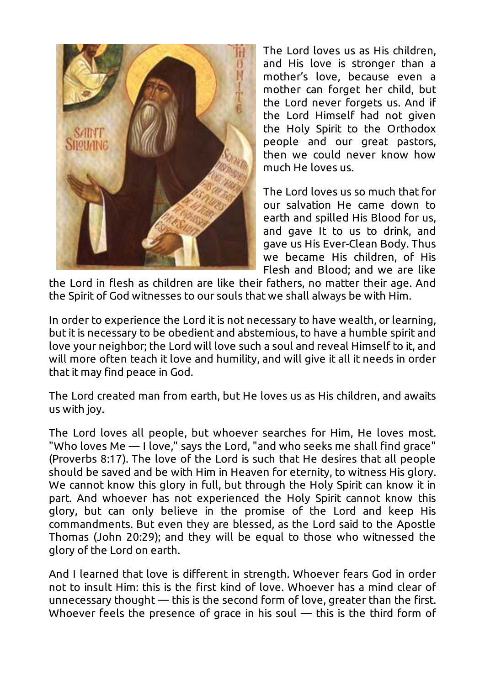

The Lord loves us as His children, and His love is stronger than a mother's love, because even a mother can forget her child, but the Lord never forgets us. And if the Lord Himself had not given the Holy Spirit to the Orthodox people and our great pastors, then we could never know how much He loves us.

The Lord loves us so much that for our salvation He came down to earth and spilled His Blood for us, and gave It to us to drink, and gave us His Ever-Clean Body. Thus we became His children, of His Flesh and Blood; and we are like

the Lord in flesh as children are like their fathers, no matter their age. And the Spirit of God witnesses to our souls that we shall always be with Him.

In order to experience the Lord it is not necessary to have wealth, or learning, but it is necessary to be obedient and abstemious, to have a humble spirit and love your neighbor; the Lord will love such a soul and reveal Himself to it, and will more often teach it love and humility, and will give it all it needs in order that it may find peace in God.

The Lord created man from earth, but He loves us as His children, and awaits us with joy.

The Lord loves all people, but whoever searches for Him, He loves most. "Who loves Me — I love," says the Lord, "and who seeks me shall find grace" (Proverbs 8:17). The love of the Lord is such that He desires that all people should be saved and be with Him in Heaven for eternity, to witness His glory. We cannot know this glory in full, but through the Holy Spirit can know it in part. And whoever has not experienced the Holy Spirit cannot know this glory, but can only believe in the promise of the Lord and keep His commandments. But even they are blessed, as the Lord said to the Apostle Thomas (John 20:29); and they will be equal to those who witnessed the glory of the Lord on earth.

And I learned that love is different in strength. Whoever fears God in order not to insult Him: this is the first kind of love. Whoever has a mind clear of unnecessary thought — this is the second form of love, greater than the first. Whoever feels the presence of grace in his soul — this is the third form of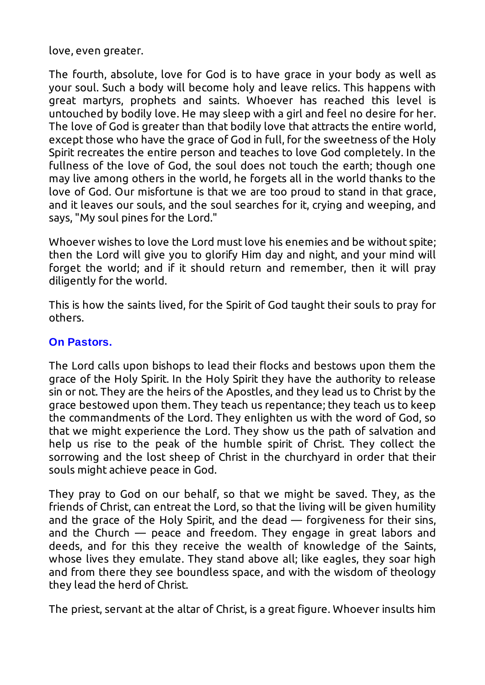love, even greater.

The fourth, absolute, love for God is to have grace in your body as well as your soul. Such a body will become holy and leave relics. This happens with great martyrs, prophets and saints. Whoever has reached this level is untouched by bodily love. He may sleep with a girl and feel no desire for her. The love of God is greater than that bodily love that attracts the entire world, except those who have the grace of God in full, for the sweetness of the Holy Spirit recreates the entire person and teaches to love God completely. In the fullness of the love of God, the soul does not touch the earth; though one may live among others in the world, he forgets all in the world thanks to the love of God. Our misfortune is that we are too proud to stand in that grace, and it leaves our souls, and the soul searches for it, crying and weeping, and says, "My soul pines for the Lord."

Whoever wishes to love the Lord must love his enemies and be without spite; then the Lord will give you to glorify Him day and night, and your mind will forget the world; and if it should return and remember, then it will pray diligently for the world.

This is how the saints lived, for the Spirit of God taught their souls to pray for others.

#### **On Pastors.**

The Lord calls upon bishops to lead their flocks and bestows upon them the grace of the Holy Spirit. In the Holy Spirit they have the authority to release sin or not. They are the heirs of the Apostles, and they lead us to Christ by the grace bestowed upon them. They teach us repentance; they teach us to keep the commandments of the Lord. They enlighten us with the word of God, so that we might experience the Lord. They show us the path of salvation and help us rise to the peak of the humble spirit of Christ. They collect the sorrowing and the lost sheep of Christ in the churchyard in order that their souls might achieve peace in God.

They pray to God on our behalf, so that we might be saved. They, as the friends of Christ, can entreat the Lord, so that the living will be given humility and the grace of the Holy Spirit, and the dead — forgiveness for their sins, and the Church — peace and freedom. They engage in great labors and deeds, and for this they receive the wealth of knowledge of the Saints, whose lives they emulate. They stand above all; like eagles, they soar high and from there they see boundless space, and with the wisdom of theology they lead the herd of Christ.

The priest, servant at the altar of Christ, is a great figure. Whoever insults him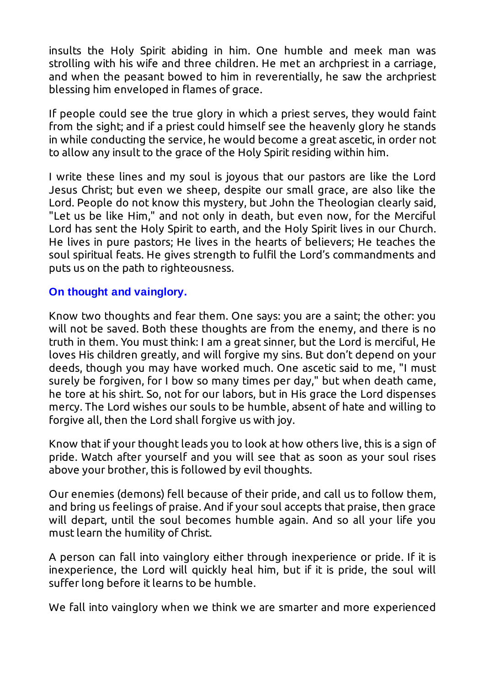insults the Holy Spirit abiding in him. One humble and meek man was strolling with his wife and three children. He met an archpriest in a carriage, and when the peasant bowed to him in reverentially, he saw the archpriest blessing him enveloped in flames of grace.

If people could see the true glory in which a priest serves, they would faint from the sight; and if a priest could himself see the heavenly glory he stands in while conducting the service, he would become a great ascetic, in order not to allow any insult to the grace of the Holy Spirit residing within him.

I write these lines and my soul is joyous that our pastors are like the Lord Jesus Christ; but even we sheep, despite our small grace, are also like the Lord. People do not know this mystery, but John the Theologian clearly said, "Let us be like Him," and not only in death, but even now, for the Merciful Lord has sent the Holy Spirit to earth, and the Holy Spirit lives in our Church. He lives in pure pastors; He lives in the hearts of believers; He teaches the soul spiritual feats. He gives strength to fulfil the Lord's commandments and puts us on the path to righteousness.

#### **On thought and vainglory.**

Know two thoughts and fear them. One says: you are a saint; the other: you will not be saved. Both these thoughts are from the enemy, and there is no truth in them. You must think: I am a great sinner, but the Lord is merciful, He loves His children greatly, and will forgive my sins. But don't depend on your deeds, though you may have worked much. One ascetic said to me, "I must surely be forgiven, for I bow so many times per day," but when death came, he tore at his shirt. So, not for our labors, but in His grace the Lord dispenses mercy. The Lord wishes our souls to be humble, absent of hate and willing to forgive all, then the Lord shall forgive us with joy.

Know that if your thought leads you to look at how others live, this is a sign of pride. Watch after yourself and you will see that as soon as your soul rises above your brother, this is followed by evil thoughts.

Our enemies (demons) fell because of their pride, and call us to follow them, and bring us feelings of praise. And if your soul accepts that praise, then grace will depart, until the soul becomes humble again. And so all your life you must learn the humility of Christ.

A person can fall into vainglory either through inexperience or pride. If it is inexperience, the Lord will quickly heal him, but if it is pride, the soul will suffer long before it learns to be humble.

We fall into vainglory when we think we are smarter and more experienced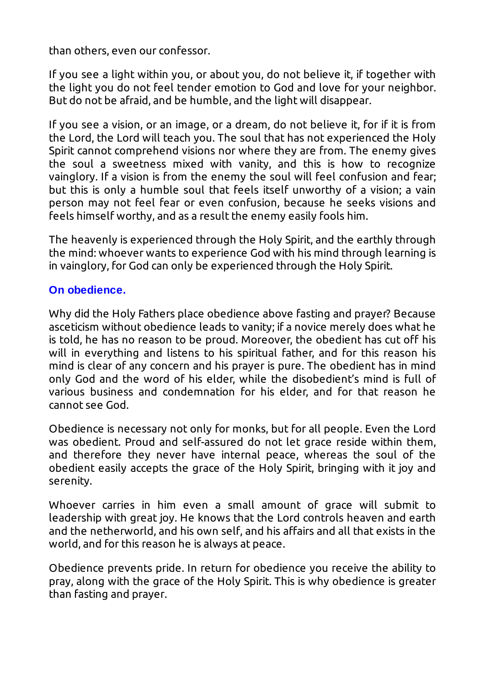than others, even our confessor.

If you see a light within you, or about you, do not believe it, if together with the light you do not feel tender emotion to God and love for your neighbor. But do not be afraid, and be humble, and the light will disappear.

If you see a vision, or an image, or a dream, do not believe it, for if it is from the Lord, the Lord will teach you. The soul that has not experienced the Holy Spirit cannot comprehend visions nor where they are from. The enemy gives the soul a sweetness mixed with vanity, and this is how to recognize vainglory. If a vision is from the enemy the soul will feel confusion and fear; but this is only a humble soul that feels itself unworthy of a vision; a vain person may not feel fear or even confusion, because he seeks visions and feels himself worthy, and as a result the enemy easily fools him.

The heavenly is experienced through the Holy Spirit, and the earthly through the mind: whoever wants to experience God with his mind through learning is in vainglory, for God can only be experienced through the Holy Spirit.

#### **On obedience.**

Why did the Holy Fathers place obedience above fasting and prayer? Because asceticism without obedience leads to vanity; if a novice merely does what he is told, he has no reason to be proud. Moreover, the obedient has cut off his will in everything and listens to his spiritual father, and for this reason his mind is clear of any concern and his prayer is pure. The obedient has in mind only God and the word of his elder, while the disobedient's mind is full of various business and condemnation for his elder, and for that reason he cannot see God.

Obedience is necessary not only for monks, but for all people. Even the Lord was obedient. Proud and self-assured do not let grace reside within them, and therefore they never have internal peace, whereas the soul of the obedient easily accepts the grace of the Holy Spirit, bringing with it joy and serenity.

Whoever carries in him even a small amount of grace will submit to leadership with great joy. He knows that the Lord controls heaven and earth and the netherworld, and his own self, and his affairs and all that exists in the world, and for this reason he is always at peace.

Obedience prevents pride. In return for obedience you receive the ability to pray, along with the grace of the Holy Spirit. This is why obedience is greater than fasting and prayer.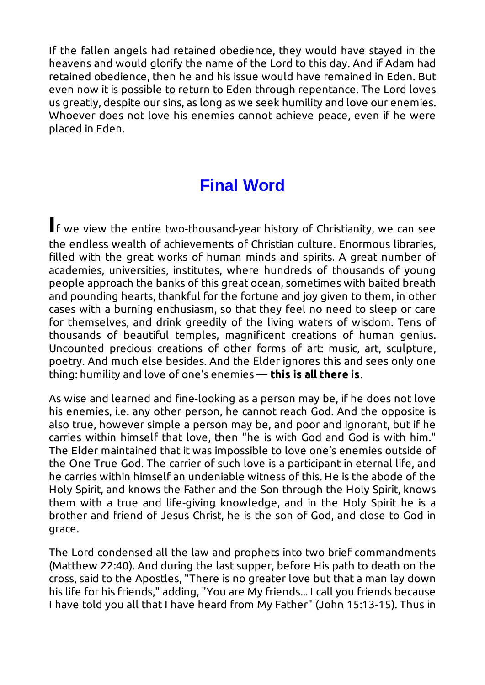If the fallen angels had retained obedience, they would have stayed in the heavens and would glorify the name of the Lord to this day. And if Adam had retained obedience, then he and his issue would have remained in Eden. But even now it is possible to return to Eden through repentance. The Lord loves us greatly, despite our sins, as long as we seek humility and love our enemies. Whoever does not love his enemies cannot achieve peace, even if he were placed in Eden.

### **Final Word**

**I**f we view the entire two-thousand-year history of Christianity, we can see the endless wealth of achievements of Christian culture. Enormous libraries, filled with the great works of human minds and spirits. A great number of academies, universities, institutes, where hundreds of thousands of young people approach the banks of this great ocean, sometimes with baited breath and pounding hearts, thankful for the fortune and joy given to them, in other cases with a burning enthusiasm, so that they feel no need to sleep or care for themselves, and drink greedily of the living waters of wisdom. Tens of thousands of beautiful temples, magnificent creations of human genius. Uncounted precious creations of other forms of art: music, art, sculpture, poetry. And much else besides. And the Elder ignores this and sees only one thing: humility and love of one's enemies — **this is all there is**.

As wise and learned and fine-looking as a person may be, if he does not love his enemies, i.e. any other person, he cannot reach God. And the opposite is also true, however simple a person may be, and poor and ignorant, but if he carries within himself that love, then "he is with God and God is with him." The Elder maintained that it was impossible to love one's enemies outside of the One True God. The carrier of such love is a participant in eternal life, and he carries within himself an undeniable witness of this. He is the abode of the Holy Spirit, and knows the Father and the Son through the Holy Spirit, knows them with a true and life-giving knowledge, and in the Holy Spirit he is a brother and friend of Jesus Christ, he is the son of God, and close to God in grace.

The Lord condensed all the law and prophets into two brief commandments (Matthew 22:40). And during the last supper, before His path to death on the cross, said to the Apostles, "There is no greater love but that a man lay down his life for his friends," adding, "You are My friends... I call you friends because I have told you all that I have heard from My Father" (John 15:13-15). Thus in